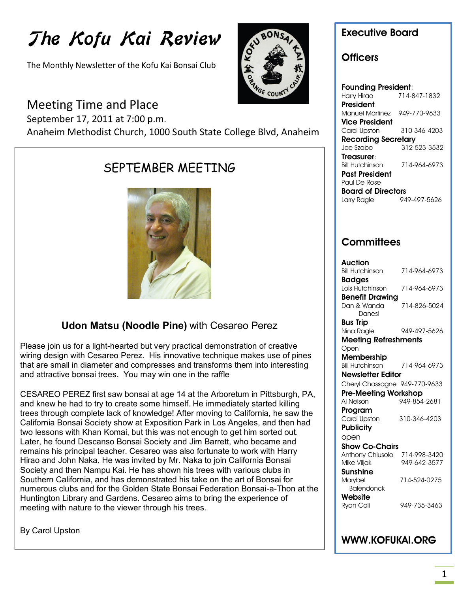# The Kofu Kai Review

The Monthly Newsletter of the Kofu Kai Bonsai Club

# Meeting Time and Place

la de la construcción de la construcción de la construcción de la construcción de la construcción de la construcción de la construcción de la construcción de la construcción de la construcción de la construcción de la cons

September 17, 2011 at 7:00 p.m.

Anaheim Methodist Church, 1000 South State College Blvd, Anaheim

SEPTEMBER MEETING



### **Udon Matsu (Noodle Pine)** with Cesareo Perez

wiring design with Cesareo Perez. His innovative technique makes use of pines Please join us for a light-hearted but very practical demonstration of creative that are small in diameter and compresses and transforms them into interesting and attractive bonsai trees. You may win one in the raffle

CESAREO PEREZ first saw bonsai at age 14 at the Arboretum in Pittsburgh, PA, and knew he had to try to create some himself. He immediately started killing trees through complete lack of knowledge! After moving to California, he saw the California Bonsai Society show at Exposition Park in Los Angeles, and then had two lessons with Khan Komai, but this was not enough to get him sorted out. Later, he found Descanso Bonsai Society and Jim Barrett, who became and remains his principal teacher. Cesareo was also fortunate to work with Harry Hirao and John Naka. He was invited by Mr. Naka to join California Bonsai Society and then Nampu Kai. He has shown his trees with various clubs in Southern California, and has demonstrated his take on the art of Bonsai for numerous clubs and for the Golden State Bonsai Federation Bonsai-a-Thon at the Huntington Library and Gardens. Cesareo aims to bring the experience of meeting with nature to the viewer through his trees.

 $\overline{a}$ By Carol Upston



## **Executive Board**

### **Officers**

**Founding President**: Harry Hirao 714-847-1832 **President** Manuel Martinez 949-770-9633 **Vice President** Carol Upston 310-346-4203 **Recording Secretary**<br>Joe Szabo 312-5 312-523-3532 **Treasurer**: Bill Hutchinson 714-964-6973 **Past President** Paul De Rose **Board of Directors** Larry Ragle 949-497-5626

# **Committees**

| Auction                       |              |
|-------------------------------|--------------|
| <b>Bill Hutchinson</b>        | 714-964-6973 |
| <b>Badges</b>                 |              |
| Lois Hutchinson               | 714-964-6973 |
| Benefit Drawina               |              |
| Dan & Wanda                   | 714-826-5024 |
| Danesi                        |              |
| Bus Trip                      |              |
| Nina Ragle                    | 949-497-5626 |
| <b>Meeting Refreshments</b>   |              |
| Open                          |              |
| Membership                    |              |
| <b>Bill Hutchinson</b>        | 714-964-6973 |
| Newsletter Editor             |              |
| Cheryl Chassagne 949-770-9633 |              |
| <b>Pre-Meeting Workshop</b>   |              |
| Al Nelson                     | 949-854-2681 |
| Program                       |              |
| Carol Upston                  | 310-346-4203 |
| <b>Publicity</b>              |              |
| open                          |              |
| Show Co-Chairs                |              |
| Anthony Chiusolo              | 714-998-3420 |
| Mike Viljak                   | 949-642-3577 |
| Sunshine                      |              |
| Marybel                       | 714-524-0275 |
| <b>Balendonck</b>             |              |
| Website                       |              |
| Ryan Cali                     | 949-735-3463 |

**WWW.KOFUKAI.ORG**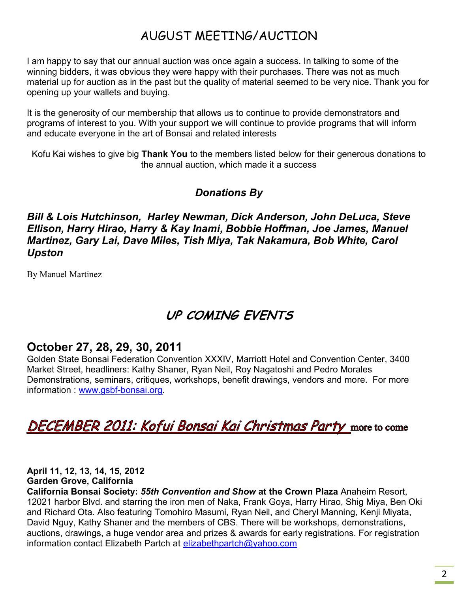# AUGUST MEETING/AUCTION

I am happy to say that our annual auction was once again a success. In talking to some of the winning bidders, it was obvious they were happy with their purchases. There was not as much material up for auction as in the past but the quality of material seemed to be very nice. Thank you for opening up your wallets and buying.

It is the generosity of our membership that allows us to continue to provide demonstrators and programs of interest to you. With your support we will continue to provide programs that will inform and educate everyone in the art of Bonsai and related interests

Kofu Kai wishes to give big **Thank You** to the members listed below for their generous donations to the annual auction, which made it a success

### *Donations By*

*Bill & Lois Hutchinson, Harley Newman, Dick Anderson, John DeLuca, Steve Ellison, Harry Hirao, Harry & Kay Inami, Bobbie Hoffman, Joe James, Manuel Martinez, Gary Lai, Dave Miles, Tish Miya, Tak Nakamura, Bob White, Carol Upston*

By Manuel Martinez

# **UP COMING EVENTS**

# **October 27, 28, 29, 30, 2011**

Golden State Bonsai Federation Convention XXXIV, Marriott Hotel and Convention Center, 3400 Market Street, headliners: Kathy Shaner, Ryan Neil, Roy Nagatoshi and Pedro Morales Demonstrations, seminars, critiques, workshops, benefit drawings, vendors and more. For more information : [www.gsbf-bonsai.org.](http://www.gsbf-bonsai.org/)

# **DECEMBER 2011: Kofui Bonsai Kai Christmas Party** more to come

#### **April 11, 12, 13, 14, 15, 2012 Garden Grove, California**

**California Bonsai Society:** *55th Convention and Show* **at the Crown Plaza** Anaheim Resort, 12021 harbor Blvd. and starring the iron men of Naka, Frank Goya, Harry Hirao, Shig Miya, Ben Oki and Richard Ota. Also featuring Tomohiro Masumi, Ryan Neil, and Cheryl Manning, Kenji Miyata, David Nguy, Kathy Shaner and the members of CBS. There will be workshops, demonstrations, auctions, drawings, a huge vendor area and prizes & awards for early registrations. For registration information contact Elizabeth Partch at [elizabethpartch@yahoo.com](mailto:elizabethpartch@yahoo.com)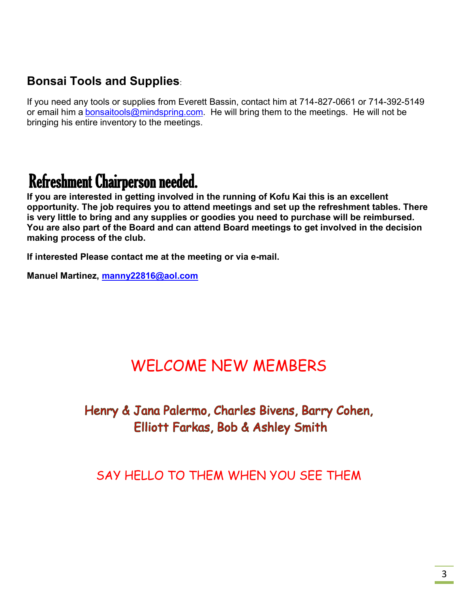# **Bonsai Tools and Supplies**:

If you need any tools or supplies from Everett Bassin, contact him at 714-827-0661 or 714-392-5149 or email him a [bonsaitools@mindspring.com.](mailto:bonsaitools@mindspring.com) He will bring them to the meetings. He will not be bringing his entire inventory to the meetings.

# Refreshment Chairperson needed.

**If you are interested in getting involved in the running of Kofu Kai this is an excellent opportunity. The job requires you to attend meetings and set up the refreshment tables. There is very little to bring and any supplies or goodies you need to purchase will be reimbursed. You are also part of the Board and can attend Board meetings to get involved in the decision making process of the club.**

**If interested Please contact me at the meeting or via e-mail.**

**Manuel Martinez, [manny22816@aol.com](mailto:manny22816@aol.com)**

# WELCOME NEW MEMBERS

Henry & Jana Palermo, Charles Bivens, Barry Cohen, Elliott Farkas, Bob & Ashley Smith

SAY HELLO TO THEM WHEN YOU SEE THEM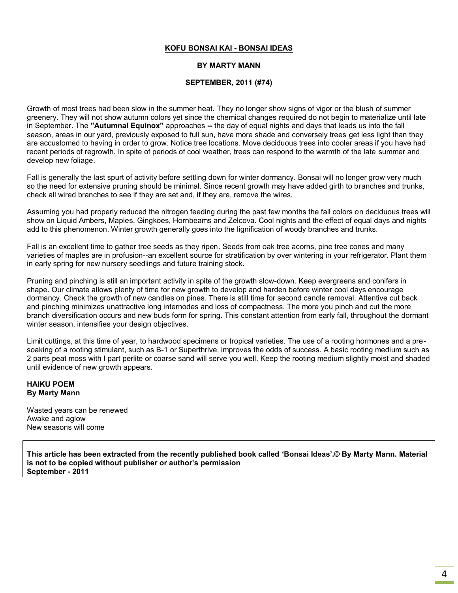#### **KOFU BONSAI KAI - BONSAI IDEAS**

#### **BY MARTY MANN**

#### **SEPTEMBER, 2011 (#74)**

Growth of most trees had been slow in the summer heat. They no longer show signs of vigor or the blush of summer greenery. They will not show autumn colors yet since the chemical changes required do not begin to materialize until late in September. The **"Autumnal Equinox"** approaches **--** the day of equal nights and days that leads us into the fall season, areas in our yard, previously exposed to full sun, have more shade and conversely trees get less light than they are accustomed to having in order to grow. Notice tree locations. Move deciduous trees into cooler areas if you have had recent periods of regrowth. In spite of periods of cool weather, trees can respond to the warmth of the late summer and develop new foliage.

Fall is generally the last spurt of activity before settling down for winter dormancy. Bonsai will no longer grow very much so the need for extensive pruning should be minimal. Since recent growth may have added girth to branches and trunks, check all wired branches to see if they are set and, if they are, remove the wires.

Assuming you had properly reduced the nitrogen feeding during the past few months the fall colors on deciduous trees will show on Liquid Ambers, Maples, Gingkoes, Hornbeams and Zelcova. Cool nights and the effect of equal days and nights add to this phenomenon. Winter growth generally goes into the lignification of woody branches and trunks.

Fall is an excellent time to gather tree seeds as they ripen. Seeds from oak tree acorns, pine tree cones and many varieties of maples are in profusion--an excellent source for stratification by over wintering in your refrigerator. Plant them in early spring for new nursery seedlings and future training stock.

Pruning and pinching is still an important activity in spite of the growth slow-down. Keep evergreens and conifers in shape. Our climate allows plenty of time for new growth to develop and harden before winter cool days encourage dormancy. Check the growth of new candles on pines. There is still time for second candle removal. Attentive cut back and pinching minimizes unattractive long internodes and loss of compactness. The more you pinch and cut the more branch diversification occurs and new buds form for spring. This constant attention from early fall, throughout the dormant winter season, intensifies your design objectives.

Limit cuttings, at this time of year, to hardwood specimens or tropical varieties. The use of a rooting hormones and a presoaking of a rooting stimulant, such as B-1 or Superthrive, improves the odds of success. A basic rooting medium such as 2 parts peat moss with l part perlite or coarse sand will serve you well. Keep the rooting medium slightly moist and shaded until evidence of new growth appears.

#### **HAIKU POEM By Marty Mann**

Wasted years can be renewed Awake and aglow New seasons will come

**This article has been extracted from the recently published book called 'Bonsai Ideas'.© By Marty Mann. Material is not to be copied without publisher or author's permission September - 2011**